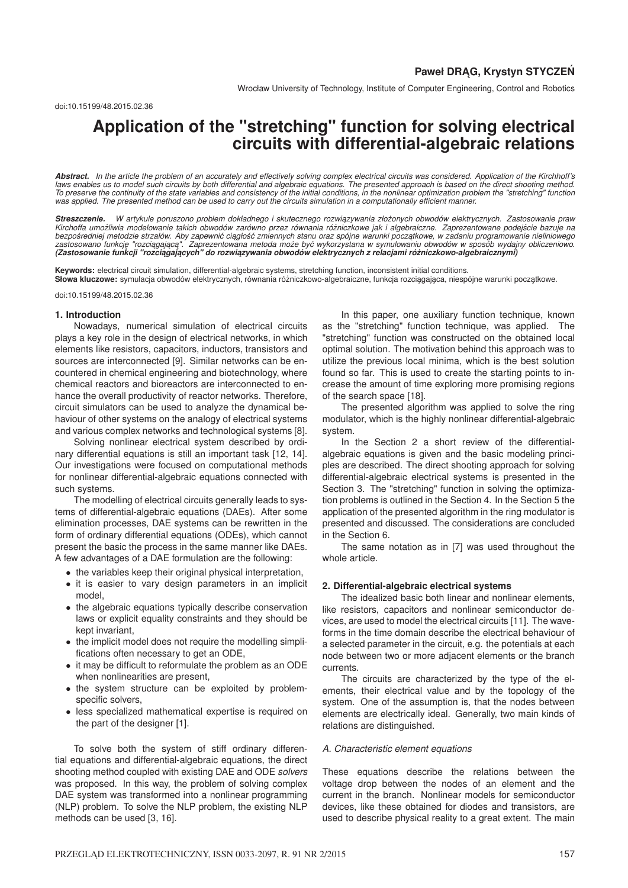Wrocław University of Technology, Institute of Computer Engineering, Control and Robotics

# **Application of the "stretching" function for solving electrical circuits with differential-algebraic relations**

*Abstract. In the article the problem of an accurately and effectively solving complex electrical circuits was considered. Application of the Kirchhoff's laws enables us to model such circuits by both differential and algebraic equations. The presented approach is based on the direct shooting method. To preserve the continuity of the state variables and consistency of the initial conditions, in the nonlinear optimization problem the "stretching" function was applied. The presented method can be used to carry out the circuits simulation in a computationally efficient manner.*

**Streszczenie.** W artykule poruszono problem dokładnego i skutecznego rozwiązywania złożonych obwodów elektrycznych. Zastosowanie praw<br>Kirchoffa umożliwia modelowanie takich obwodów zarówno przez równania różniczkowe jak i *bezposredniej metodzie strzałów. Aby zapewni ´ c ci ˛ ´ agłos´c zmiennych stanu oraz spójne warunki pocz ˛ ´ atkowe, w zadaniu programowanie nieliniowego* zastosowano funkcję "rozciągającą". Zaprezentowana metoda może być wykorzystana w symulowaniu obwodów w sposób wydajny obliczeniowo.<br>(**Zastosowanie funkcji "rozciągających" do rozwiązywania obwodów elektrycznych z relacjam** 

**Keywords:** electrical circuit simulation, differential-algebraic systems, stretching function, inconsistent initial conditions.<br>**Słowa kluczowe:** symulacja obwodów elektrycznych, równania różniczkowo-algebraiczne, funkcja

doi:10.15199/48.2015.02.36

## **1. Introduction**

Nowadays, numerical simulation of electrical circuits plays a key role in the design of electrical networks, in which elements like resistors, capacitors, inductors, transistors and sources are interconnected [9]. Similar networks can be encountered in chemical engineering and biotechnology, where chemical reactors and bioreactors are interconnected to enhance the overall productivity of reactor networks. Therefore, circuit simulators can be used to analyze the dynamical behaviour of other systems on the analogy of electrical systems and various complex networks and technological systems [8].

Solving nonlinear electrical system described by ordinary differential equations is still an important task [12, 14]. Our investigations were focused on computational methods for nonlinear differential-algebraic equations connected with such systems.

The modelling of electrical circuits generally leads to systems of differential-algebraic equations (DAEs). After some elimination processes, DAE systems can be rewritten in the form of ordinary differential equations (ODEs), which cannot present the basic the process in the same manner like DAEs. A few advantages of a DAE formulation are the following:

- the variables keep their original physical interpretation,
- it is easier to vary design parameters in an implicit model,
- the algebraic equations typically describe conservation laws or explicit equality constraints and they should be kept invariant,
- the implicit model does not require the modelling simplifications often necessary to get an ODE,
- it may be difficult to reformulate the problem as an ODE when nonlinearities are present,
- the system structure can be exploited by problemspecific solvers,
- less specialized mathematical expertise is required on the part of the designer [1].

To solve both the system of stiff ordinary differential equations and differential-algebraic equations, the direct shooting method coupled with existing DAE and ODE *solvers* was proposed. In this way, the problem of solving complex DAE system was transformed into a nonlinear programming (NLP) problem. To solve the NLP problem, the existing NLP methods can be used [3, 16].

In this paper, one auxiliary function technique, known as the "stretching" function technique, was applied. The "stretching" function was constructed on the obtained local optimal solution. The motivation behind this approach was to utilize the previous local minima, which is the best solution found so far. This is used to create the starting points to increase the amount of time exploring more promising regions of the search space [18].

The presented algorithm was applied to solve the ring modulator, which is the highly nonlinear differential-algebraic system.

In the Section 2 a short review of the differentialalgebraic equations is given and the basic modeling principles are described. The direct shooting approach for solving differential-algebraic electrical systems is presented in the Section 3. The "stretching" function in solving the optimization problems is outlined in the Section 4. In the Section 5 the application of the presented algorithm in the ring modulator is presented and discussed. The considerations are concluded in the Section 6.

The same notation as in [7] was used throughout the whole article.

# **2. Differential-algebraic electrical systems**

The idealized basic both linear and nonlinear elements, like resistors, capacitors and nonlinear semiconductor devices, are used to model the electrical circuits [11]. The waveforms in the time domain describe the electrical behaviour of a selected parameter in the circuit, e.g. the potentials at each node between two or more adjacent elements or the branch currents.

The circuits are characterized by the type of the elements, their electrical value and by the topology of the system. One of the assumption is, that the nodes between elements are electrically ideal. Generally, two main kinds of relations are distinguished.

## *A. Characteristic element equations*

These equations describe the relations between the voltage drop between the nodes of an element and the current in the branch. Nonlinear models for semiconductor devices, like these obtained for diodes and transistors, are used to describe physical reality to a great extent. The main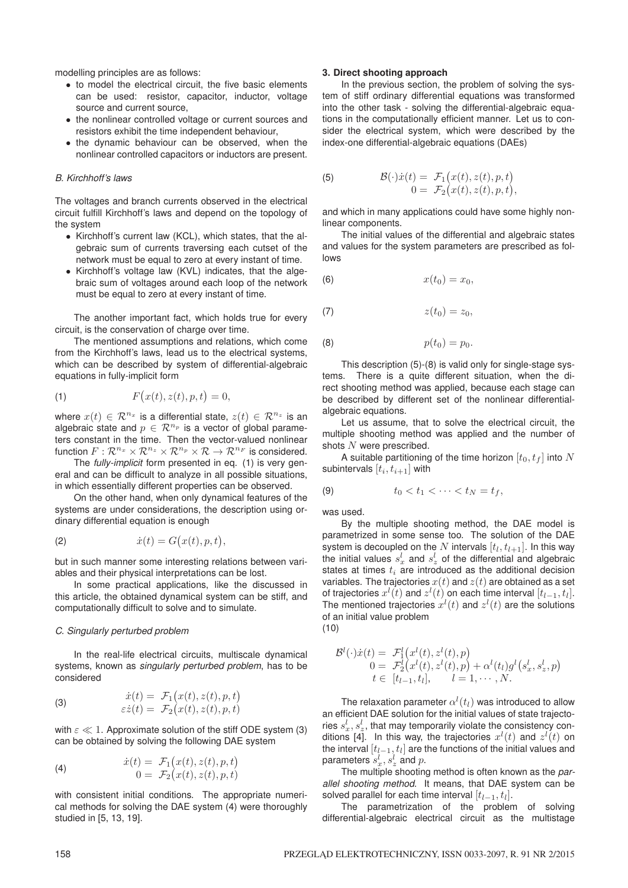modelling principles are as follows:

- to model the electrical circuit, the five basic elements can be used: resistor, capacitor, inductor, voltage source and current source,
- the nonlinear controlled voltage or current sources and resistors exhibit the time independent behaviour,
- the dynamic behaviour can be observed, when the nonlinear controlled capacitors or inductors are present.

# *B. Kirchhoff's laws*

The voltages and branch currents observed in the electrical circuit fulfill Kirchhoff's laws and depend on the topology of the system

- Kirchhoff's current law (KCL), which states, that the algebraic sum of currents traversing each cutset of the network must be equal to zero at every instant of time.
- Kirchhoff's voltage law (KVL) indicates, that the algebraic sum of voltages around each loop of the network must be equal to zero at every instant of time.

The another important fact, which holds true for every circuit, is the conservation of charge over time.

The mentioned assumptions and relations, which come from the Kirchhoff's laws, lead us to the electrical systems, which can be described by system of differential-algebraic equations in fully-implicit form

$$
(1) \tF(x(t), z(t), p, t) = 0,
$$

where  $x(t) \in \mathbb{R}^{n_x}$  is a differential state,  $z(t) \in \mathbb{R}^{n_z}$  is an algebraic state and  $p \in \mathcal{R}^{n_p}$  is a vector of global parameters constant in the time. Then the vector-valued nonlinear function  $F: \mathbb{R}^{n_x} \times \mathbb{R}^{n_z} \times \mathbb{R}^{n_p} \times \mathbb{R} \to \mathbb{R}^{n_F}$  is considered.

The *fully-implicit* form presented in eq. (1) is very general and can be difficult to analyze in all possible situations, in which essentially different properties can be observed.

On the other hand, when only dynamical features of the systems are under considerations, the description using ordinary differential equation is enough

$$
(2) \t\t\t\t\t\dot{x}(t) = G(x(t), p, t),
$$

but in such manner some interesting relations between variables and their physical interpretations can be lost.

In some practical applications, like the discussed in this article, the obtained dynamical system can be stiff, and computationally difficult to solve and to simulate.

# *C. Singularly perturbed problem*

In the real-life electrical circuits, multiscale dynamical systems, known as *singularly perturbed problem*, has to be considered

(3) 
$$
\begin{aligned}\n\dot{x}(t) &= \mathcal{F}_1(x(t), z(t), p, t) \\
\varepsilon \dot{z}(t) &= \mathcal{F}_2(x(t), z(t), p, t)\n\end{aligned}
$$

with  $\varepsilon \ll 1$ . Approximate solution of the stiff ODE system (3) can be obtained by solving the following DAE system

(4) 
$$
\begin{aligned}\n\dot{x}(t) &= \mathcal{F}_1(x(t), z(t), p, t) \\
0 &= \mathcal{F}_2(x(t), z(t), p, t)\n\end{aligned}
$$

with consistent initial conditions. The appropriate numerical methods for solving the DAE system (4) were thoroughly studied in [5, 13, 19].

# **3. Direct shooting approach**

In the previous section, the problem of solving the system of stiff ordinary differential equations was transformed into the other task - solving the differential-algebraic equations in the computationally efficient manner. Let us to consider the electrical system, which were described by the index-one differential-algebraic equations (DAEs)

(5) 
$$
\mathcal{B}(\cdot)\dot{x}(t) = \mathcal{F}_1(x(t), z(t), p, t) \n0 = \mathcal{F}_2(x(t), z(t), p, t),
$$

and which in many applications could have some highly nonlinear components.

The initial values of the differential and algebraic states and values for the system parameters are prescribed as follows

$$
x(t_0) = x_0,
$$

$$
(7) \t z(t_0) = z_0,
$$

(8)  $p(t_0) = p_0$ .

This description (5)-(8) is valid only for single-stage systems. There is a quite different situation, when the direct shooting method was applied, because each stage can be described by different set of the nonlinear differentialalgebraic equations.

Let us assume, that to solve the electrical circuit, the multiple shooting method was applied and the number of shots  $N$  were prescribed.

A suitable partitioning of the time horizon  $[t_0, t_f]$  into N subintervals  $[t_i, t_{i+1}]$  with

$$
(9) \t t_0 < t_1 < \cdots < t_N = t_f,
$$

was used.

By the multiple shooting method, the DAE model is parametrized in some sense too. The solution of the DAE system is decoupled on the N intervals  $[t_l, t_{l+1}]$ . In this way the initial values  $s'_x$  and  $s'_z$  of the differential and algebraic<br>states at times  $t_z$  are introduced as the additional decision states at times  $t_i$  are introduced as the additional decision variables. The trajectories  $x(t)$  and  $z(t)$  are obtained as a set of trajectories  $x^{l}(t)$  and  $z^{l}(t)$  on each time interval  $[t_{l-1}, t_{l}]$ .<br>The mentioned trajectories  $x^{l}(t)$  and  $z^{l}(t)$  are the solutions The mentioned trajectories  $x^l(t)$  and  $z^l(t)$  are the solutions<br>of an initial value problem of an initial value problem (10)

$$
\mathcal{B}^{l}(\cdot)\dot{x}(t) = \mathcal{F}_{1}^{l}(x^{l}(t), z^{l}(t), p) \n0 = \mathcal{F}_{2}^{l}(x^{l}(t), z^{l}(t), p) + \alpha^{l}(t_{l})g^{l}(s_{x}^{l}, s_{z}^{l}, p) \n t \in [t_{1}, t_{1}] \quad l = 1, ..., N
$$

 $t \in [t_{l-1}, t_l], \quad l = 1, \cdots, N.$ 

The relaxation parameter  $\alpha^l(t_l)$  was introduced to allow<br>fficient DAF solution for the initial values of state trajectoan efficient DAE solution for the initial values of state trajectories  $s_x^l$ ,  $s_z^l$ , that may temporarily violate the consistency con-<br>ditions [4] In this way the trajectories  $x^l(t)$  and  $z^l(t)$  on ries  $s_x$ ,  $s_z$ , that may temporarily violate the consistency con-<br>ditions [4]. In this way, the trajectories  $x^l(t)$  and  $z^l(t)$  on<br>the interval  $[t_{l-1}, t_l]$  are the functions of the initial values and the interval  $[t_{l-1}, t_l]$  are the functions of the initial values and parameters  $s_x^l$ ,  $s_z^l$  and  $p$ .<br>The multiple shootin

meters  $s_x^*, s_z^*$  and  $p$ .<br>The multiple shooting method is often known as the *parallel shooting method*. It means, that DAE system can be solved parallel for each time interval  $[t_{l-1}, t_l]$ .

The parametrization of the problem of solving differential-algebraic electrical circuit as the multistage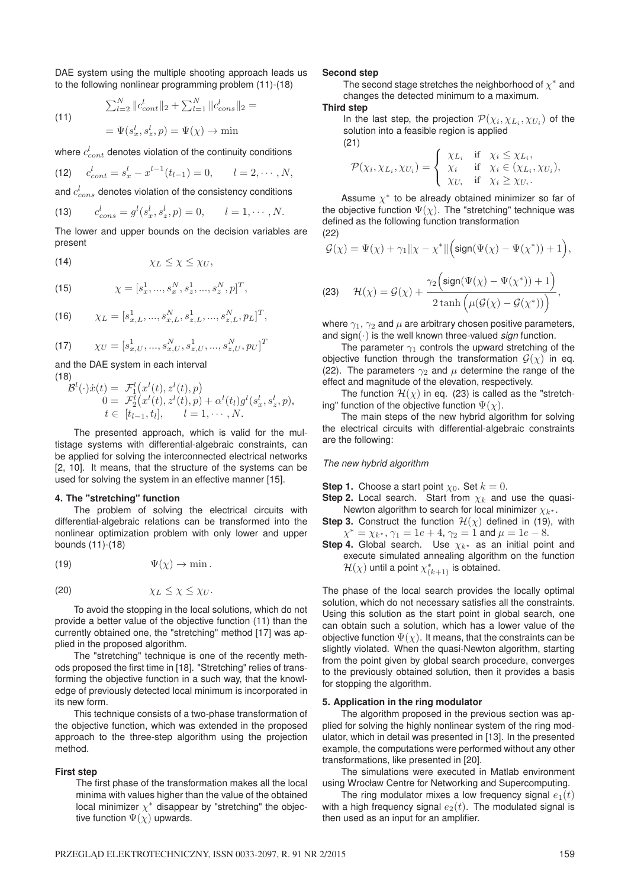DAE system using the multiple shooting approach leads us to the following nonlinear programming problem (11)-(18)

(11)  
\n
$$
\sum_{l=2}^{N} ||c_{cont}^{l}||_{2} + \sum_{l=1}^{N} ||c_{cons}^{l}||_{2} =
$$
\n
$$
= \Psi(s_{x}^{l}, s_{z}^{l}, p) = \Psi(\chi) \to \min
$$

where  $c_{cont}^t$  denotes violation of the continuity conditions

(12) 
$$
c_{cont}^l = s_x^l - x^{l-1}(t_{l-1}) = 0, \qquad l = 2, \cdots, N,
$$

and  $c_{cons}^{t}$  denotes violation of the consistency conditions

(13) 
$$
c_{cons}^l = g^l(s_x^l, s_z^l, p) = 0, \qquad l = 1, \cdots, N.
$$

The lower and upper bounds on the decision variables are present

(14)  $\chi_L \leq \chi \leq \chi_U$ ,

(15) 
$$
\chi = [s_x^1, ..., s_x^N, s_z^1, ..., s_z^N, p]^T,
$$

(16) 
$$
\chi_L = [s_{x,L}^1, ..., s_{x,L}^N, s_{z,L}^1, ..., s_{z,L}^N, p_L]^T,
$$

(17) 
$$
\chi_U = [s_{x,U}^1, ..., s_{x,U}^N, s_{z,U}^1, ..., s_{z,U}^N, p_U]^T
$$

and the DAE system in each interval (18)

$$
\mathcal{B}^{l}(\cdot)\dot{x}(t) = \mathcal{F}_{1}^{l}(x^{l}(t), z^{l}(t), p) \n0 = \mathcal{F}_{2}^{l}(x^{l}(t), z^{l}(t), p) + \alpha^{l}(t_{l})g^{l}(s_{x}^{l}, s_{z}^{l}, p), \n t \in [t_{l-1}, t_{l}], \quad l = 1, \cdots, N.
$$

The presented approach, which is valid for the multistage systems with differential-algebraic constraints, can be applied for solving the interconnected electrical networks [2, 10]. It means, that the structure of the systems can be used for solving the system in an effective manner [15].

#### **4. The "stretching" function**

The problem of solving the electrical circuits with differential-algebraic relations can be transformed into the nonlinear optimization problem with only lower and upper bounds (11)-(18)

(19)  $\Psi(\gamma) \to \min$ .

$$
\chi_L \leq \chi \leq \chi_U.
$$

To avoid the stopping in the local solutions, which do not provide a better value of the objective function (11) than the currently obtained one, the "stretching" method [17] was applied in the proposed algorithm.

The "stretching" technique is one of the recently methods proposed the first time in [18]. "Stretching" relies of transforming the objective function in a such way, that the knowledge of previously detected local minimum is incorporated in its new form.

This technique consists of a two-phase transformation of the objective function, which was extended in the proposed approach to the three-step algorithm using the projection method.

#### **First step**

The first phase of the transformation makes all the local minima with values higher than the value of the obtained local minimizer  $\chi^*$  disappear by "stretching" the objective function  $\Psi(\chi)$  upwards.

#### **Second step**

The second stage stretches the neighborhood of  $\chi^*$  and changes the detected minimum to a maximum.

# **Third step**

In the last step, the projection  $\mathcal{P}(\chi_i, \chi_{L_i}, \chi_{U_i})$  of the solution into a feasible region is applied (21)

$$
\mathcal{P}(\chi_i, \chi_{L_i}, \chi_{U_i}) = \begin{cases} \chi_{L_i} & \text{if } \chi_i \leq \chi_{L_i}, \\ \chi_i & \text{if } \chi_i \in (\chi_{L_i}, \chi_{U_i}), \\ \chi_{U_i} & \text{if } \chi_i \geq \chi_{U_i}. \end{cases}
$$

Assume  $\chi^*$  to be already obtained minimizer so far of the objective function  $\Psi(\chi)$ . The "stretching" technique was defined as the following function transformation (22)

$$
\mathcal{G}(\chi) = \Psi(\chi) + \gamma_1 ||\chi - \chi^*|| \Big(\text{sign}(\Psi(\chi) - \Psi(\chi^*)) + 1\Big),\,
$$

(23) 
$$
\mathcal{H}(\chi) = \mathcal{G}(\chi) + \frac{\gamma_2 \Big(\text{sign}(\Psi(\chi) - \Psi(\chi^*)) + 1\Big)}{2 \tanh \Big(\mu(\mathcal{G}(\chi) - \mathcal{G}(\chi^*))\Big)},
$$

where  $\gamma_1$ ,  $\gamma_2$  and  $\mu$  are arbitrary chosen positive parameters, and  $sign(\cdot)$  is the well known three-valued *sign* function.

The parameter  $\gamma_1$  controls the upward stretching of the objective function through the transformation  $G(\chi)$  in eq. (22). The parameters  $\gamma_2$  and  $\mu$  determine the range of the effect and magnitude of the elevation, respectively.

The function  $\mathcal{H}(\chi)$  in eq. (23) is called as the "stretching" function of the objective function  $\Psi(\chi)$ .

The main steps of the new hybrid algorithm for solving the electrical circuits with differential-algebraic constraints are the following:

### *The new hybrid algorithm*

**Step 1.** Choose a start point  $\chi_0$ . Set  $k = 0$ .

- **Step 2.** Local search. Start from  $\chi_k$  and use the quasi-Newton algorithm to search for local minimizer  $\chi_{k^*}$ .<br>3. Construct the function  $\mathcal{H}(\gamma)$  defined in (19)
- **Step 3.** Construct the function  $\mathcal{H}(\chi)$  defined in (19), with  $\chi^* = \chi_{k^*}, \gamma_1 = 1e + 4, \gamma_2 = 1$  and  $\mu = 1e - 8$ .<br>4. Global search Lise  $\chi_{k^*}$  as an initial poir
- **Step 4.** Global search. Use  $\chi_{k^*}$  as an initial point and execute simulated annealing algorithm on the function execute simulated annealing algorithm on the function  $\mathcal{H}(\chi)$  until a point  $\chi_{(k+1)}^*$  is obtained.

The phase of the local search provides the locally optimal solution, which do not necessary satisfies all the constraints. Using this solution as the start point in global search, one can obtain such a solution, which has a lower value of the objective function  $\Psi(\chi)$ . It means, that the constraints can be slightly violated. When the quasi-Newton algorithm, starting from the point given by global search procedure, converges to the previously obtained solution, then it provides a basis for stopping the algorithm.

# **5. Application in the ring modulator**

The algorithm proposed in the previous section was applied for solving the highly nonlinear system of the ring modulator, which in detail was presented in [13]. In the presented example, the computations were performed without any other transformations, like presented in [20].

The simulations were executed in Matlab environment using Wrocław Centre for Networking and Supercomputing.

The ring modulator mixes a low frequency signal  $e_1(t)$ with a high frequency signal  $e_2(t)$ . The modulated signal is then used as an input for an amplifier.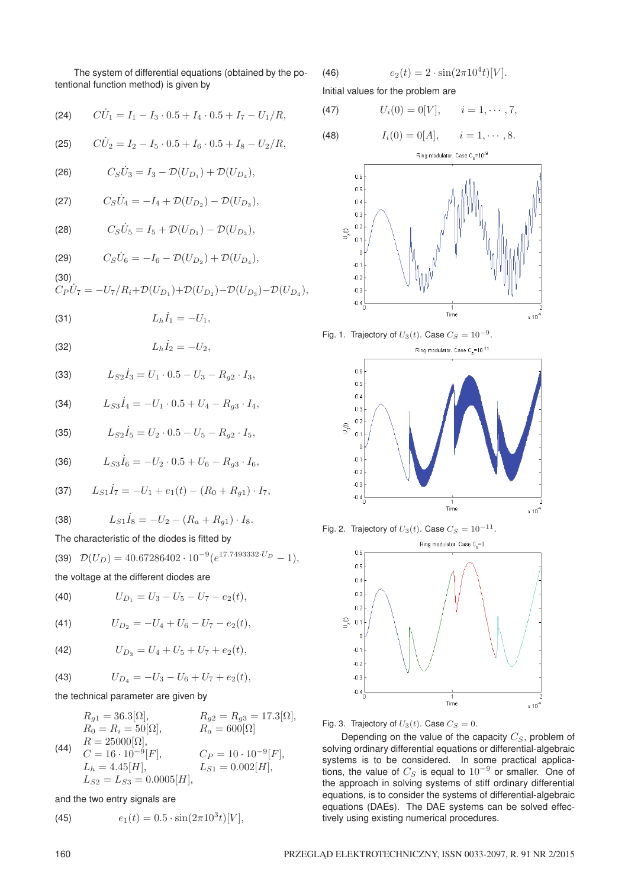The system of differential equations (obtained by the potentional function method) is given by

(24) 
$$
C\dot{U}_1 = I_1 - I_3 \cdot 0.5 + I_4 \cdot 0.5 + I_7 - U_1/R,
$$

(25) 
$$
C\dot{U}_2 = I_2 - I_5 \cdot 0.5 + I_6 \cdot 0.5 + I_8 - U_2/R,
$$

(26) 
$$
C_S \dot{U}_3 = I_3 - \mathcal{D}(U_{D_1}) + \mathcal{D}(U_{D_4}),
$$

(27) 
$$
C_S \dot{U}_4 = -I_4 + \mathcal{D}(U_{D_2}) - \mathcal{D}(U_{D_3}),
$$

(28) 
$$
C_S \dot{U}_5 = I_5 + \mathcal{D}(U_{D_1}) - \mathcal{D}(U_{D_3}),
$$

(29) 
$$
C_S \dot{U}_6 = -I_6 - \mathcal{D}(U_{D_2}) + \mathcal{D}(U_{D_4}),
$$

$$
(30)
$$

$$
C_P U_7 = -U_7/R_i + \mathcal{D}(U_{D_1}) + \mathcal{D}(U_{D_2}) - \mathcal{D}(U_{D_3}) - \mathcal{D}(U_{D_4}),
$$

(31) 
$$
L_h \dot{I}_1 = -U_1,
$$

$$
L_h \dot{I}_2 = -U_2,
$$

(33) 
$$
L_{S2}\dot{I}_3 = U_1 \cdot 0.5 - U_3 - R_{g2} \cdot I_3,
$$

(34) 
$$
L_{S3}\dot{I}_4 = -U_1 \cdot 0.5 + U_4 - R_{g3} \cdot I_4,
$$

(35) 
$$
L_{S2}\dot{I}_5 = U_2 \cdot 0.5 - U_5 - R_{g2} \cdot I_5,
$$

(36) 
$$
L_{S3}\dot{I}_6 = -U_2 \cdot 0.5 + U_6 - R_{g3} \cdot I_6,
$$

(37) 
$$
L_{S1}\dot{I}_7 = -U_1 + e_1(t) - (R_0 + R_{g1}) \cdot I_7,
$$

(38) 
$$
L_{S1}\dot{I}_8 = -U_2 - (R_a + R_{g1}) \cdot I_8.
$$

The characteristic of the diodes is fitted by

(39) 
$$
\mathcal{D}(U_D) = 40.67286402 \cdot 10^{-9} (e^{17.7493332 \cdot U_D} - 1),
$$

the voltage at the different diodes are

(40) 
$$
U_{D_1}=U_3-U_5-U_7-e_2(t),
$$

(41) 
$$
U_{D_2} = -U_4 + U_6 - U_7 - e_2(t),
$$

(42) 
$$
U_{D_3}=U_4+U_5+U_7+e_2(t),
$$

(43) 
$$
U_{D_4} = -U_3 - U_6 + U_7 + e_2(t),
$$

the technical parameter are given by

$$
R_{g1} = 36.3[\Omega], \t R_{g2} = R_{g3} = 17.3[\Omega],
$$
  
\n
$$
R_0 = R_i = 50[\Omega], \t R_a = 600[\Omega]
$$
  
\n(44) 
$$
R = 25000[\Omega], \t C = 16 \cdot 10^{-9}[F], \t C_P = 10 \cdot 10^{-9}[F],
$$
  
\n
$$
L_h = 4.45[H], \t L_{S1} = 0.002[H],
$$
  
\n
$$
L_{S2} = L_{S3} = 0.0005[H],
$$

and the two entry signals are

(45) 
$$
e_1(t) = 0.5 \cdot \sin(2\pi 10^3 t)[V],
$$

(46) 
$$
e_2(t) = 2 \cdot \sin(2\pi 10^4 t)[V].
$$

Initial values for the problem are

(47) 
$$
U_i(0) = 0[V], \quad i = 1, \dots, 7,
$$

(48) 
$$
I_i(0) = 0[A], \quad i = 1, \dots, 8.
$$











Fig. 3. Trajectory of  $U_3(t)$ . Case  $C_S = 0$ .

Depending on the value of the capacity  $C_S$ , problem of solving ordinary differential equations or differential-algebraic systems is to be considered. In some practical applications, the value of  $C_S$  is equal to  $10^{-9}$  or smaller. One of the approach in solving systems of stiff ordinary differential equations, is to consider the systems of differential-algebraic equations (DAEs). The DAE systems can be solved effectively using existing numerical procedures.